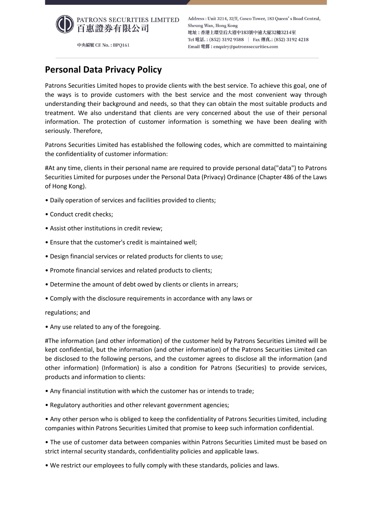

中央編號 CE No.: BPQ161

## **Personal Data Privacy Policy**

Patrons Securities Limited hopes to provide clients with the best service. To achieve this goal, one of the ways is to provide customers with the best service and the most convenient way through understanding their background and needs, so that they can obtain the most suitable products and treatment. We also understand that clients are very concerned about the use of their personal information. The protection of customer information is something we have been dealing with seriously. Therefore,

Patrons Securities Limited has established the following codes, which are committed to maintaining the confidentiality of customer information:

#At any time, clients in their personal name are required to provide personal data("data") to Patrons Securities Limited for purposes under the Personal Data (Privacy) Ordinance (Chapter 486 of the Laws of Hong Kong).

- Daily operation of services and facilities provided to clients;
- Conduct credit checks;
- Assist other institutions in credit review;
- Ensure that the customer's credit is maintained well;
- Design financial services or related products for clients to use;
- Promote financial services and related products to clients;
- Determine the amount of debt owed by clients or clients in arrears;
- Comply with the disclosure requirements in accordance with any laws or

## regulations; and

• Any use related to any of the foregoing.

#The information (and other information) of the customer held by Patrons Securities Limited will be kept confidential, but the information (and other information) of the Patrons Securities Limited can be disclosed to the following persons, and the customer agrees to disclose all the information (and other information) (Information) is also a condition for Patrons (Securities) to provide services, products and information to clients:

- Any financial institution with which the customer has or intends to trade;
- Regulatory authorities and other relevant government agencies;

• Any other person who is obliged to keep the confidentiality of Patrons Securities Limited, including companies within Patrons Securities Limited that promise to keep such information confidential.

• The use of customer data between companies within Patrons Securities Limited must be based on strict internal security standards, confidentiality policies and applicable laws.

• We restrict our employees to fully comply with these standards, policies and laws.